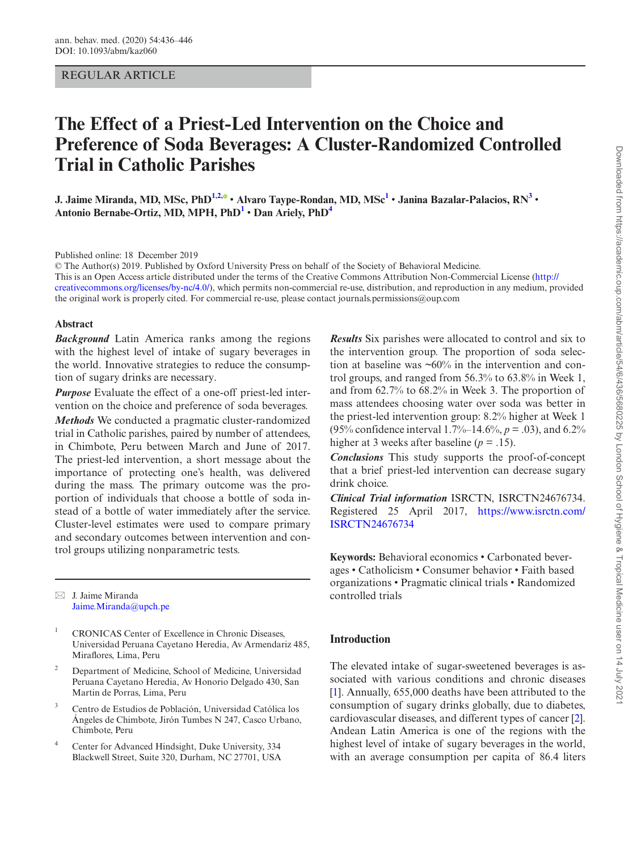# REGULAR ARTICLE

# **The Effect of a Priest-Led Intervention on the Choice and Preference of Soda Beverages: A Cluster-Randomized Controlled Trial in Catholic Parishes**

**J. Jaime Miranda, MD, MSc, PhD[1](#page-0-0)[,2](#page-0-1),** • **Alvaro Taype-Rondan, MD, MS[c1](#page-0-0)** • **Janina Bazalar-Palacios, R[N3](#page-0-2)** • **Antonio Bernabe-Ortiz, MD, MPH, PhD[1](#page-0-0)** • **Dan Ariely, Ph[D4](#page-0-3)**

Published online: 18 December 2019

© The Author(s) 2019. Published by Oxford University Press on behalf of the Society of Behavioral Medicine. This is an Open Access article distributed under the terms of the Creative Commons Attribution Non-Commercial License [\(http://](http://creativecommons.org/licenses/by-nc/4.0/) [creativecommons.org/licenses/by-nc/4.0/\)](http://creativecommons.org/licenses/by-nc/4.0/), which permits non-commercial re-use, distribution, and reproduction in any medium, provided the original work is properly cited. For commercial re-use, please contact journals.permissions@oup.com

#### **Abstract**

*Background* Latin America ranks among the regions with the highest level of intake of sugary beverages in the world. Innovative strategies to reduce the consumption of sugary drinks are necessary.

*Purpose* Evaluate the effect of a one-off priest-led intervention on the choice and preference of soda beverages.

*Methods* We conducted a pragmatic cluster-randomized trial in Catholic parishes, paired by number of attendees, in Chimbote, Peru between March and June of 2017. The priest-led intervention, a short message about the importance of protecting one's health, was delivered during the mass. The primary outcome was the proportion of individuals that choose a bottle of soda instead of a bottle of water immediately after the service. Cluster-level estimates were used to compare primary and secondary outcomes between intervention and control groups utilizing nonparametric tests.

 $\boxtimes$  J. Jaime Miranda [Jaime.Miranda@upch.pe](mailto:Jaime.Miranda@upch.pe?subject=)

- <span id="page-0-0"></span><sup>1</sup> CRONICAS Center of Excellence in Chronic Diseases, Universidad Peruana Cayetano Heredia, Av Armendariz 485, Miraflores, Lima, Peru
- <span id="page-0-1"></span><sup>2</sup> Department of Medicine, School of Medicine, Universidad Peruana Cayetano Heredia, Av Honorio Delgado 430, San Martin de Porras, Lima, Peru
- <span id="page-0-2"></span><sup>3</sup> Centro de Estudios de Población, Universidad Católica los Ángeles de Chimbote, Jirón Tumbes N 247, Casco Urbano, Chimbote, Peru
- <span id="page-0-3"></span>Center for Advanced Hindsight, Duke University, 334 Blackwell Street, Suite 320, Durham, NC 27701, USA

*Results* Six parishes were allocated to control and six to the intervention group. The proportion of soda selection at baseline was  $\sim 60\%$  in the intervention and control groups, and ranged from 56.3% to 63.8% in Week 1, and from 62.7% to 68.2% in Week 3. The proportion of mass attendees choosing water over soda was better in the priest-led intervention group: 8.2% higher at Week 1 (95% confidence interval 1.7%–14.6%, *p* = .03), and 6.2% higher at 3 weeks after baseline (*p* = .15).

*Conclusions* This study supports the proof-of-concept that a brief priest-led intervention can decrease sugary drink choice.

*Clinical Trial information* ISRCTN, ISRCTN24676734. Registered 25 April 2017, [https://www.isrctn.com/](https://www.isrctn.com/ISRCTN24676734) [ISRCTN24676734](https://www.isrctn.com/ISRCTN24676734)

**Keywords:** Behavioral economics • Carbonated beverages • Catholicism • Consumer behavior • Faith based organizations • Pragmatic clinical trials • Randomized controlled trials

# **Introduction**

The elevated intake of sugar-sweetened beverages is associated with various conditions and chronic diseases [\[1](#page-9-0)]. Annually, 655,000 deaths have been attributed to the consumption of sugary drinks globally, due to diabetes, cardiovascular diseases, and different types of cancer [[2\]](#page-9-1). Andean Latin America is one of the regions with the highest level of intake of sugary beverages in the world, with an average consumption per capita of 86.4 liters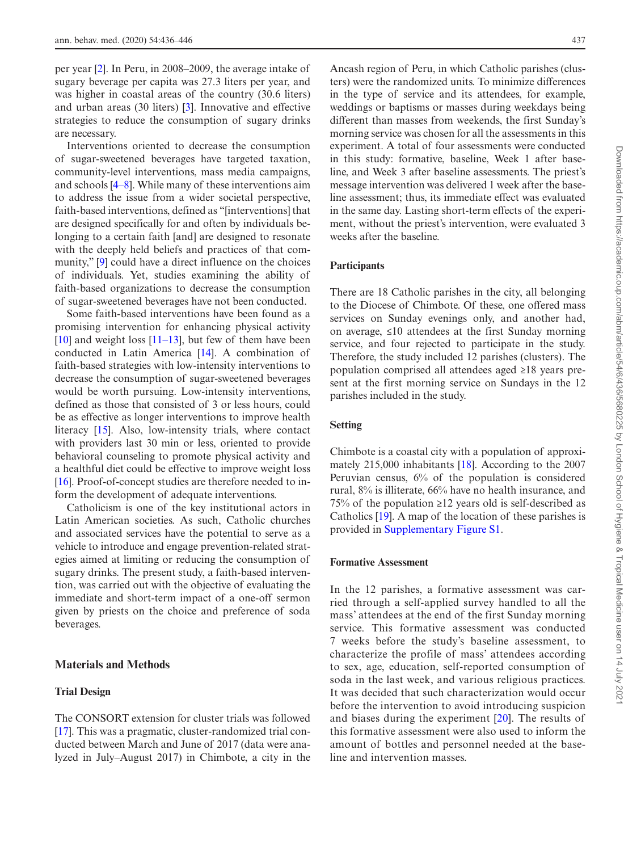per year [[2\]](#page-9-1). In Peru, in 2008–2009, the average intake of sugary beverage per capita was 27.3 liters per year, and was higher in coastal areas of the country (30.6 liters) and urban areas (30 liters) [\[3](#page-9-2)]. Innovative and effective strategies to reduce the consumption of sugary drinks are necessary.

Interventions oriented to decrease the consumption of sugar-sweetened beverages have targeted taxation, community-level interventions, mass media campaigns, and schools [4–8]. While many of these interventions aim to address the issue from a wider societal perspective, faith-based interventions, defined as "[interventions] that are designed specifically for and often by individuals belonging to a certain faith [and] are designed to resonate with the deeply held beliefs and practices of that community," [\[9](#page-9-3)] could have a direct influence on the choices of individuals. Yet, studies examining the ability of faith-based organizations to decrease the consumption of sugar-sweetened beverages have not been conducted.

Some faith-based interventions have been found as a promising intervention for enhancing physical activity [[10\]](#page-9-4) and weight loss  $[11-13]$ , but few of them have been conducted in Latin America [\[14](#page-10-0)]. A combination of faith-based strategies with low-intensity interventions to decrease the consumption of sugar-sweetened beverages would be worth pursuing. Low-intensity interventions, defined as those that consisted of 3 or less hours, could be as effective as longer interventions to improve health literacy [\[15](#page-10-1)]. Also, low-intensity trials, where contact with providers last 30 min or less, oriented to provide behavioral counseling to promote physical activity and a healthful diet could be effective to improve weight loss [[16\]](#page-10-2). Proof-of-concept studies are therefore needed to inform the development of adequate interventions.

Catholicism is one of the key institutional actors in Latin American societies. As such, Catholic churches and associated services have the potential to serve as a vehicle to introduce and engage prevention-related strategies aimed at limiting or reducing the consumption of sugary drinks. The present study, a faith-based intervention, was carried out with the objective of evaluating the immediate and short-term impact of a one-off sermon given by priests on the choice and preference of soda beverages.

# **Materials and Methods**

## **Trial Design**

The CONSORT extension for cluster trials was followed [[17\]](#page-10-3). This was a pragmatic, cluster-randomized trial conducted between March and June of 2017 (data were analyzed in July–August 2017) in Chimbote, a city in the Ancash region of Peru, in which Catholic parishes (clusters) were the randomized units. To minimize differences in the type of service and its attendees, for example, weddings or baptisms or masses during weekdays being different than masses from weekends, the first Sunday's morning service was chosen for all the assessments in this experiment. A total of four assessments were conducted in this study: formative, baseline, Week 1 after baseline, and Week 3 after baseline assessments. The priest's message intervention was delivered 1 week after the baseline assessment; thus, its immediate effect was evaluated in the same day. Lasting short-term effects of the experiment, without the priest's intervention, were evaluated 3 weeks after the baseline.

#### **Participants**

There are 18 Catholic parishes in the city, all belonging to the Diocese of Chimbote. Of these, one offered mass services on Sunday evenings only, and another had, on average, ≤10 attendees at the first Sunday morning service, and four rejected to participate in the study. Therefore, the study included 12 parishes (clusters). The population comprised all attendees aged ≥18 years present at the first morning service on Sundays in the 12 parishes included in the study.

#### **Setting**

Chimbote is a coastal city with a population of approximately 215,000 inhabitants [\[18](#page-10-4)]. According to the 2007 Peruvian census, 6% of the population is considered rural, 8% is illiterate, 66% have no health insurance, and 75% of the population ≥12 years old is self-described as Catholics [[19\]](#page-10-5). A map of the location of these parishes is provided in [Supplementary Figure S1](http://academic.oup.com/abm/article-lookup/doi/10.1093/abm/kaz060#supplementary-data).

#### **Formative Assessment**

In the 12 parishes, a formative assessment was carried through a self-applied survey handled to all the mass' attendees at the end of the first Sunday morning service. This formative assessment was conducted 7 weeks before the study's baseline assessment, to characterize the profile of mass' attendees according to sex, age, education, self-reported consumption of soda in the last week, and various religious practices. It was decided that such characterization would occur before the intervention to avoid introducing suspicion and biases during the experiment [[20](#page-10-6)]. The results of this formative assessment were also used to inform the amount of bottles and personnel needed at the baseline and intervention masses.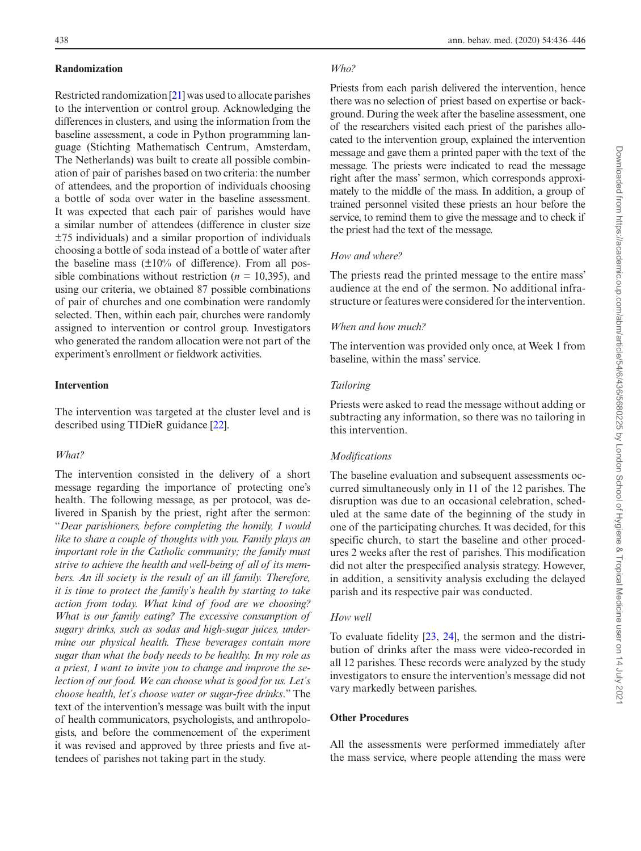## **Randomization**

Restricted randomization [[21](#page-10-7)] was used to allocate parishes to the intervention or control group. Acknowledging the differences in clusters, and using the information from the baseline assessment, a code in Python programming language (Stichting Mathematisch Centrum, Amsterdam, The Netherlands) was built to create all possible combination of pair of parishes based on two criteria: the number of attendees, and the proportion of individuals choosing a bottle of soda over water in the baseline assessment. It was expected that each pair of parishes would have a similar number of attendees (difference in cluster size ±75 individuals) and a similar proportion of individuals choosing a bottle of soda instead of a bottle of water after the baseline mass  $(\pm 10\%$  of difference). From all possible combinations without restriction ( $n = 10,395$ ), and using our criteria, we obtained 87 possible combinations of pair of churches and one combination were randomly selected. Then, within each pair, churches were randomly assigned to intervention or control group. Investigators who generated the random allocation were not part of the experiment's enrollment or fieldwork activities.

## **Intervention**

The intervention was targeted at the cluster level and is described using TIDieR guidance [[22\]](#page-10-8).

#### *What?*

The intervention consisted in the delivery of a short message regarding the importance of protecting one's health. The following message, as per protocol, was delivered in Spanish by the priest, right after the sermon: "*Dear parishioners, before completing the homily, I would like to share a couple of thoughts with you. Family plays an important role in the Catholic community; the family must strive to achieve the health and well-being of all of its members. An ill society is the result of an ill family. Therefore, it is time to protect the family's health by starting to take action from today. What kind of food are we choosing? What is our family eating? The excessive consumption of sugary drinks, such as sodas and high-sugar juices, undermine our physical health. These beverages contain more sugar than what the body needs to be healthy. In my role as a priest, I want to invite you to change and improve the selection of our food. We can choose what is good for us. Let's choose health, let's choose water or sugar-free drinks*." The text of the intervention's message was built with the input of health communicators, psychologists, and anthropologists, and before the commencement of the experiment it was revised and approved by three priests and five attendees of parishes not taking part in the study.

## *Who?*

Priests from each parish delivered the intervention, hence there was no selection of priest based on expertise or background. During the week after the baseline assessment, one of the researchers visited each priest of the parishes allocated to the intervention group, explained the intervention message and gave them a printed paper with the text of the message. The priests were indicated to read the message right after the mass' sermon, which corresponds approximately to the middle of the mass. In addition, a group of trained personnel visited these priests an hour before the service, to remind them to give the message and to check if the priest had the text of the message.

## *How and where?*

The priests read the printed message to the entire mass' audience at the end of the sermon. No additional infrastructure or features were considered for the intervention.

#### *When and how much?*

The intervention was provided only once, at Week 1 from baseline, within the mass' service.

## *Tailoring*

Priests were asked to read the message without adding or subtracting any information, so there was no tailoring in this intervention.

## *Modifications*

The baseline evaluation and subsequent assessments occurred simultaneously only in 11 of the 12 parishes. The disruption was due to an occasional celebration, scheduled at the same date of the beginning of the study in one of the participating churches. It was decided, for this specific church, to start the baseline and other procedures 2 weeks after the rest of parishes. This modification did not alter the prespecified analysis strategy. However, in addition, a sensitivity analysis excluding the delayed parish and its respective pair was conducted.

# *How well*

To evaluate fidelity [[23,](#page-10-9) [24\]](#page-10-10), the sermon and the distribution of drinks after the mass were video-recorded in all 12 parishes. These records were analyzed by the study investigators to ensure the intervention's message did not vary markedly between parishes.

## **Other Procedures**

All the assessments were performed immediately after the mass service, where people attending the mass were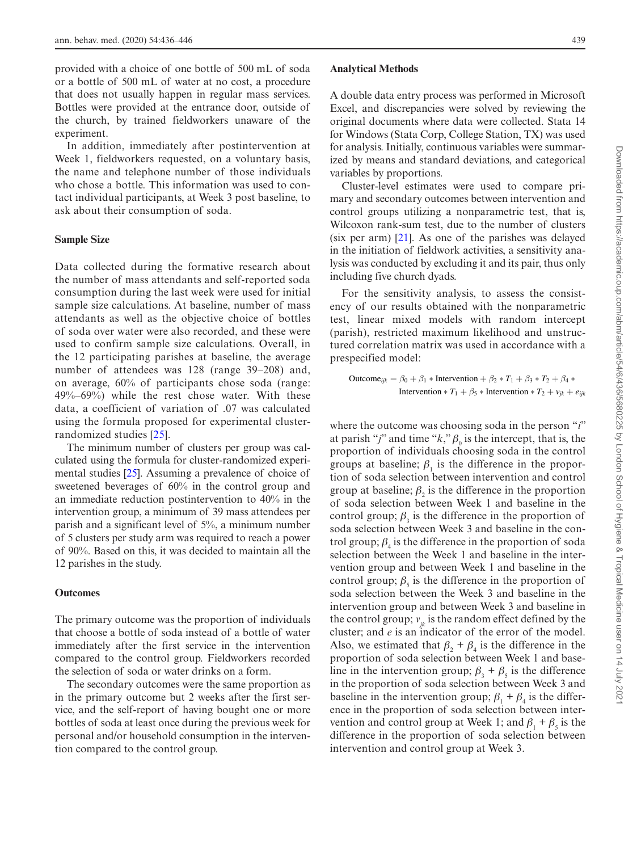provided with a choice of one bottle of 500 mL of soda or a bottle of 500 mL of water at no cost, a procedure that does not usually happen in regular mass services. Bottles were provided at the entrance door, outside of the church, by trained fieldworkers unaware of the experiment.

In addition, immediately after postintervention at Week 1, fieldworkers requested, on a voluntary basis, the name and telephone number of those individuals who chose a bottle. This information was used to contact individual participants, at Week 3 post baseline, to ask about their consumption of soda.

#### **Sample Size**

Data collected during the formative research about the number of mass attendants and self-reported soda consumption during the last week were used for initial sample size calculations. At baseline, number of mass attendants as well as the objective choice of bottles of soda over water were also recorded, and these were used to confirm sample size calculations. Overall, in the 12 participating parishes at baseline, the average number of attendees was 128 (range 39–208) and, on average, 60% of participants chose soda (range: 49%–69%) while the rest chose water. With these data, a coefficient of variation of .07 was calculated using the formula proposed for experimental clusterrandomized studies [[25\]](#page-10-11).

The minimum number of clusters per group was calculated using the formula for cluster-randomized experimental studies [[25](#page-10-11)]. Assuming a prevalence of choice of sweetened beverages of 60% in the control group and an immediate reduction postintervention to 40% in the intervention group, a minimum of 39 mass attendees per parish and a significant level of 5%, a minimum number of 5 clusters per study arm was required to reach a power of 90%. Based on this, it was decided to maintain all the 12 parishes in the study.

#### **Outcomes**

The primary outcome was the proportion of individuals that choose a bottle of soda instead of a bottle of water immediately after the first service in the intervention compared to the control group. Fieldworkers recorded the selection of soda or water drinks on a form.

The secondary outcomes were the same proportion as in the primary outcome but 2 weeks after the first service, and the self-report of having bought one or more bottles of soda at least once during the previous week for personal and/or household consumption in the intervention compared to the control group.

## **Analytical Methods**

A double data entry process was performed in Microsoft Excel, and discrepancies were solved by reviewing the original documents where data were collected. Stata 14 for Windows (Stata Corp, College Station, TX) was used for analysis. Initially, continuous variables were summarized by means and standard deviations, and categorical variables by proportions.

Cluster-level estimates were used to compare primary and secondary outcomes between intervention and control groups utilizing a nonparametric test, that is, Wilcoxon rank-sum test, due to the number of clusters (six per arm)  $[21]$  $[21]$ . As one of the parishes was delayed in the initiation of fieldwork activities, a sensitivity analysis was conducted by excluding it and its pair, thus only including five church dyads.

For the sensitivity analysis, to assess the consistency of our results obtained with the nonparametric test, linear mixed models with random intercept (parish), restricted maximum likelihood and unstructured correlation matrix was used in accordance with a prespecified model:

Outcome<sub>ijk</sub> = 
$$
\beta_0 + \beta_1 * \text{Interior} + \beta_2 * T_1 + \beta_3 * T_2 + \beta_4 * \text{
$$

\nIntervention  $*T_1 + \beta_5 * \text{Interior} + T_2 + v_{jk} + e_{ijk}$ 

where the outcome was choosing soda in the person "*i*" at parish "*j*" and time " $k$ ,"  $\beta_0$  is the intercept, that is, the proportion of individuals choosing soda in the control groups at baseline;  $\beta_1$  is the difference in the proportion of soda selection between intervention and control group at baseline;  $\beta_2$  is the difference in the proportion of soda selection between Week 1 and baseline in the control group;  $\beta_3$  is the difference in the proportion of soda selection between Week 3 and baseline in the control group;  $\beta_4$  is the difference in the proportion of soda selection between the Week 1 and baseline in the intervention group and between Week 1 and baseline in the control group;  $\beta_5$  is the difference in the proportion of soda selection between the Week 3 and baseline in the intervention group and between Week 3 and baseline in the control group;  $v_{ik}$  is the random effect defined by the cluster; and *e* is an indicator of the error of the model. Also, we estimated that  $\beta_2 + \beta_4$  is the difference in the proportion of soda selection between Week 1 and baseline in the intervention group;  $\beta_3 + \beta_5$  is the difference in the proportion of soda selection between Week 3 and baseline in the intervention group;  $\beta_1 + \beta_4$  is the difference in the proportion of soda selection between intervention and control group at Week 1; and  $\beta_1 + \beta_5$  is the difference in the proportion of soda selection between intervention and control group at Week 3.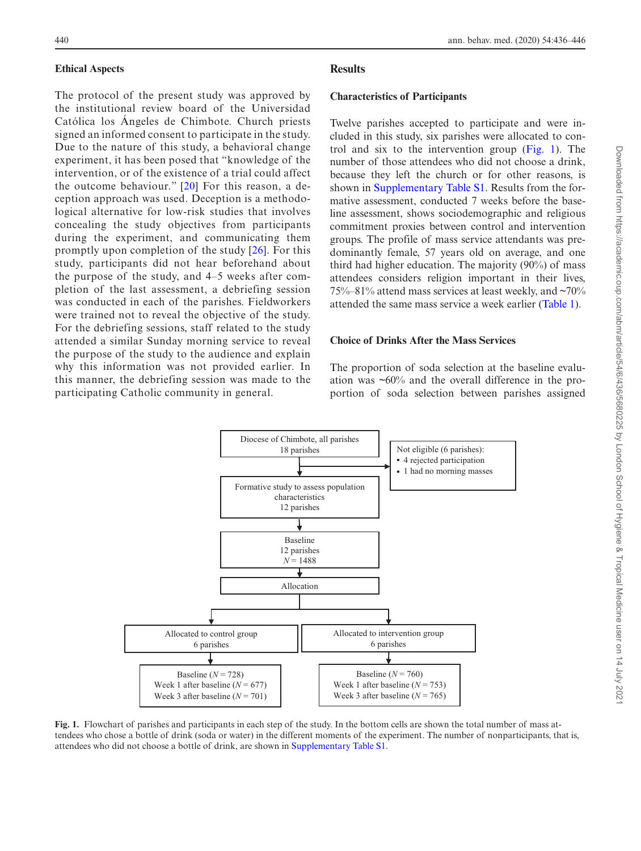## **Ethical Aspects**

The protocol of the present study was approved by the institutional review board of the Universidad Católica los Ángeles de Chimbote. Church priests signed an informed consent to participate in the study. Due to the nature of this study, a behavioral change experiment, it has been posed that "knowledge of the intervention, or of the existence of a trial could affect the outcome behaviour." [[20](#page-10-6)] For this reason, a deception approach was used. Deception is a methodological alternative for low-risk studies that involves concealing the study objectives from participants during the experiment, and communicating them promptly upon completion of the study [\[26\]](#page-10-12). For this study, participants did not hear beforehand about the purpose of the study, and 4–5 weeks after completion of the last assessment, a debriefing session was conducted in each of the parishes. Fieldworkers were trained not to reveal the objective of the study. For the debriefing sessions, staff related to the study attended a similar Sunday morning service to reveal the purpose of the study to the audience and explain why this information was not provided earlier. In this manner, the debriefing session was made to the participating Catholic community in general.

# **Results**

#### **Characteristics of Participants**

Twelve parishes accepted to participate and were included in this study, six parishes were allocated to control and six to the intervention group  $(Fig, 1)$ . The number of those attendees who did not choose a drink. because they left the church or for other reasons, is shown in [Supplementary Table S1.](http://academic.oup.com/abm/article-lookup/doi/10.1093/abm/kaz060#supplementary-data) Results from the formative assessment, conducted 7 weeks before the baseline assessment, shows sociodemographic and religious commitment proxies between control and intervention groups. The profile of mass service attendants was predominantly female, 57 years old on average, and one third had higher education. The majority (90%) of mass attendees considers religion important in their lives, 75%–81% attend mass services at least weekly, and  $\sim$ 70% attended the same mass service a week earlier ([Table 1](#page-5-0)).

# **Choice of Drinks After the Mass Services**

The proportion of soda selection at the baseline evaluation was ~60% and the overall difference in the proportion of soda selection between parishes assigned



<span id="page-4-0"></span>**Fig. 1.** Flowchart of parishes and participants in each step of the study. In the bottom cells are shown the total number of mass attendees who chose a bottle of drink (soda or water) in the different moments of the experiment. The number of nonparticipants, that is, attendees who did not choose a bottle of drink, are shown in [Supplementary Table S1](http://academic.oup.com/abm/article-lookup/doi/10.1093/abm/kaz060#supplementary-data).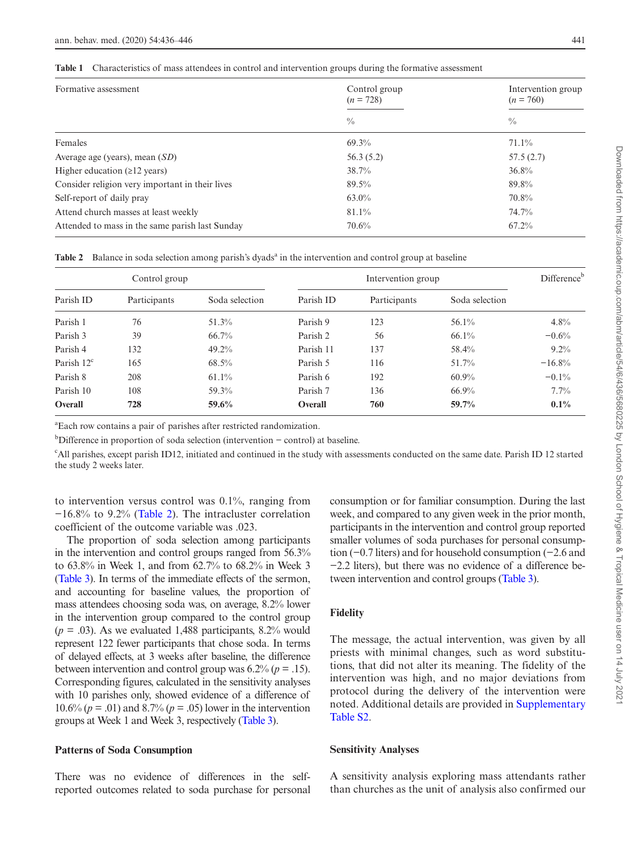<span id="page-5-0"></span>**Table 1** Characteristics of mass attendees in control and intervention groups during the formative assessment

| Formative assessment                            | Control group<br>$(n = 728)$ | Intervention group<br>$(n = 760)$ |  |
|-------------------------------------------------|------------------------------|-----------------------------------|--|
|                                                 | $\frac{0}{0}$                | $\frac{0}{0}$                     |  |
| Females                                         | 69.3%                        | $71.1\%$                          |  |
| Average age (years), mean $(SD)$                | 56.3(5.2)                    | 57.5(2.7)                         |  |
| Higher education $(\geq 12 \text{ years})$      | 38.7%                        | $36.8\%$                          |  |
| Consider religion very important in their lives | 89.5%                        | 89.8%                             |  |
| Self-report of daily pray                       | $63.0\%$                     | 70.8%                             |  |
| Attend church masses at least weekly            | 81.1%                        | 74.7%                             |  |
| Attended to mass in the same parish last Sunday | $70.6\%$                     | $67.2\%$                          |  |

<span id="page-5-1"></span>Table 2 Balance in soda selection among parish's dyads<sup>a</sup> in the intervention and control group at baseline

| Control group       |              |                | Intervention group |              |                |          |
|---------------------|--------------|----------------|--------------------|--------------|----------------|----------|
| Parish ID           | Participants | Soda selection | Parish ID          | Participants | Soda selection |          |
| Parish 1            | 76           | 51.3%          | Parish 9           | 123          | $56.1\%$       | 4.8%     |
| Parish 3            | 39           | 66.7%          | Parish 2           | 56           | $66.1\%$       | $-0.6%$  |
| Parish 4            | 132          | 49.2%          | Parish 11          | 137          | 58.4%          | $9.2\%$  |
| Parish $12^{\circ}$ | 165          | 68.5%          | Parish 5           | 116          | 51.7%          | $-16.8%$ |
| Parish 8            | 208          | 61.1%          | Parish 6           | 192          | $60.9\%$       | $-0.1\%$ |
| Parish 10           | 108          | 59.3%          | Parish 7           | 136          | 66.9%          | 7.7%     |
| Overall             | 728          | 59.6%          | Overall            | 760          | 59.7%          | $0.1\%$  |

a Each row contains a pair of parishes after restricted randomization.

b Difference in proportion of soda selection (intervention − control) at baseline.

c All parishes, except parish ID12, initiated and continued in the study with assessments conducted on the same date. Parish ID 12 started the study 2 weeks later.

to intervention versus control was 0.1%, ranging from −16.8% to 9.2% [\(Table 2\)](#page-5-1). The intracluster correlation coefficient of the outcome variable was .023.

The proportion of soda selection among participants in the intervention and control groups ranged from 56.3% to 63.8% in Week 1, and from 62.7% to 68.2% in Week 3 [\(Table 3](#page-6-0)). In terms of the immediate effects of the sermon, and accounting for baseline values, the proportion of mass attendees choosing soda was, on average, 8.2% lower in the intervention group compared to the control group  $(p = .03)$ . As we evaluated 1,488 participants, 8.2% would represent 122 fewer participants that chose soda. In terms of delayed effects, at 3 weeks after baseline, the difference between intervention and control group was  $6.2\%$  ( $p = .15$ ). Corresponding figures, calculated in the sensitivity analyses with 10 parishes only, showed evidence of a difference of 10.6% (*p* = .01) and 8.7% (*p* = .05) lower in the intervention groups at Week 1 and Week 3, respectively ([Table 3](#page-6-0)).

## **Patterns of Soda Consumption**

There was no evidence of differences in the selfreported outcomes related to soda purchase for personal consumption or for familiar consumption. During the last week, and compared to any given week in the prior month, participants in the intervention and control group reported smaller volumes of soda purchases for personal consumption (−0.7 liters) and for household consumption (−2.6 and −2.2 liters), but there was no evidence of a difference between intervention and control groups [\(Table 3](#page-6-0)).

# **Fidelity**

The message, the actual intervention, was given by all priests with minimal changes, such as word substitutions, that did not alter its meaning. The fidelity of the intervention was high, and no major deviations from protocol during the delivery of the intervention were noted. Additional details are provided in [Supplementary](http://academic.oup.com/abm/article-lookup/doi/10.1093/abm/kaz060#supplementary-data) [Table S2.](http://academic.oup.com/abm/article-lookup/doi/10.1093/abm/kaz060#supplementary-data)

#### **Sensitivity Analyses**

A sensitivity analysis exploring mass attendants rather than churches as the unit of analysis also confirmed our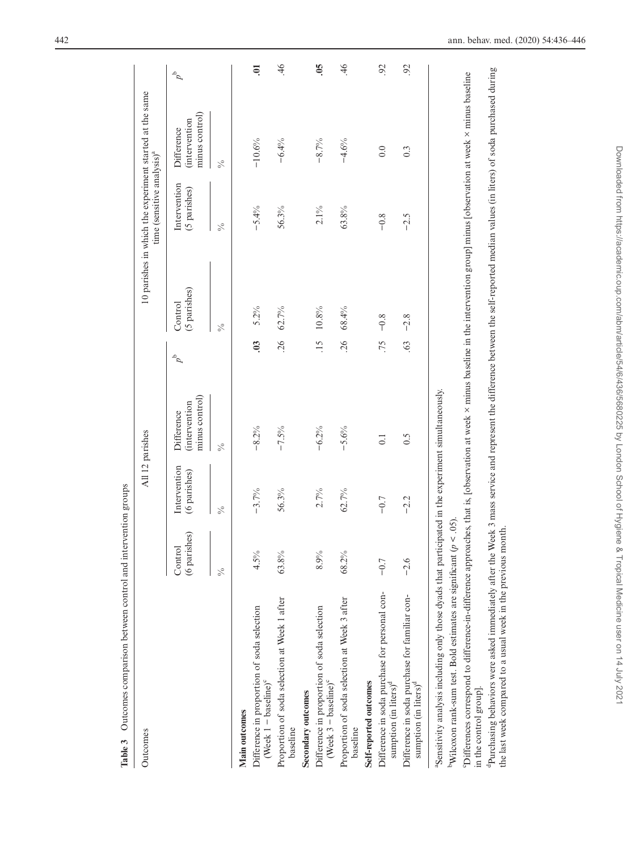| Outcomes                                                                                                                                                                                                                                                          |                         | All 12 parishes              |                                                     |                  |                         | time (sensitive analysis) <sup>a</sup> | 10 parishes in which the experiment started at the same |                     |
|-------------------------------------------------------------------------------------------------------------------------------------------------------------------------------------------------------------------------------------------------------------------|-------------------------|------------------------------|-----------------------------------------------------|------------------|-------------------------|----------------------------------------|---------------------------------------------------------|---------------------|
|                                                                                                                                                                                                                                                                   | (6 parishes)<br>Control | Intervention<br>(6 parishes) | minus control)<br><i>intervention</i><br>Difference | $\sigma^{\rm d}$ | (5 parishes)<br>Control | Intervention<br>(5 parishes)           | minus control)<br>intervention<br>Difference            | $\sigma^{\rm d}$    |
|                                                                                                                                                                                                                                                                   | $\frac{6}{6}$           | $\frac{5}{6}$                | $\frac{5}{6}$                                       |                  | $\frac{5}{6}$           | $\frac{5}{6}$                          | $\frac{6}{6}$                                           |                     |
| Main outcomes                                                                                                                                                                                                                                                     |                         |                              |                                                     |                  |                         |                                        |                                                         |                     |
| Difference in proportion of soda selection<br>(Week $1 - \text{baseline}$ ) <sup>c</sup>                                                                                                                                                                          | 4.5%                    | $-3.7%$                      | $-8.2%$                                             | $\ddot{0}$       | 5.2%                    | $-5.4\%$                               | $-10.6%$                                                | ຣຸ                  |
| Proportion of soda selection at Week 1 after<br>baseline                                                                                                                                                                                                          | 63.8%                   | 56.3%                        | $-7.5%$                                             | .26              | $62.7\%$                | 56.3%                                  | $-6.4%$                                                 | 46                  |
| Secondary outcomes                                                                                                                                                                                                                                                |                         |                              |                                                     |                  |                         |                                        |                                                         |                     |
| Difference in proportion of soda selection<br>(Week $3 -$ baseline) $^{\circ}$                                                                                                                                                                                    | 8.9%                    | 2.7%                         | $-6.2%$                                             | $\ddot{5}$       | $10.8\%$                | $2.1\%$                                | $-8.7%$                                                 | $\ddot{\mathrm{S}}$ |
| Proportion of soda selection at Week 3 after<br>baseline                                                                                                                                                                                                          | 68.2%                   | 62.7%                        | $-5.6%$                                             | 26               | 68.4%                   | 63.8%                                  | $-4.6%$                                                 | $\overline{46}$     |
| Self-reported outcomes                                                                                                                                                                                                                                            |                         |                              |                                                     |                  |                         |                                        |                                                         |                     |
| Difference in soda purchase for personal con-<br>sumption (in liters) <sup>d</sup>                                                                                                                                                                                | $-0.7$                  | $-0.7$                       | $\overline{0}$ :                                    | 75.              | $-0.8$                  | $-0.8$                                 | 0.0                                                     | 92                  |
| Difference in soda purchase for familiar con-<br>sumption (in liters) <sup>d</sup>                                                                                                                                                                                | $-2.6$                  | $-2.2$                       | 0.5                                                 | 63               | $-2.8$                  | $-2.5$                                 | $0.\overline{3}$                                        | 92                  |
| "Sensitivity analysis including only those dyads that participated in the experiment simultaneously.<br>Wilcoxon rank-sum test. Bold estimates are significant ( $p < .05$ ).                                                                                     |                         |                              |                                                     |                  |                         |                                        |                                                         |                     |
| "Differences correspond to difference-in-difference approaches, that is, [observation at week x minus baseline in the intervention group] minus [observation at week x minus baseline<br>in the control group].                                                   |                         |                              |                                                     |                  |                         |                                        |                                                         |                     |
| <sup>4</sup> Purchasing behaviors were asked immediately after the Week 3 mass service and represent the difference between the self-reported median values (in liters) of soda purchased during<br>the last week compared to a usual week in the previous month. |                         |                              |                                                     |                  |                         |                                        |                                                         |                     |

<span id="page-6-0"></span>Table 3 Outcomes comparison between control and intervention groups **Table 3** Outcomes comparison between control and intervention groups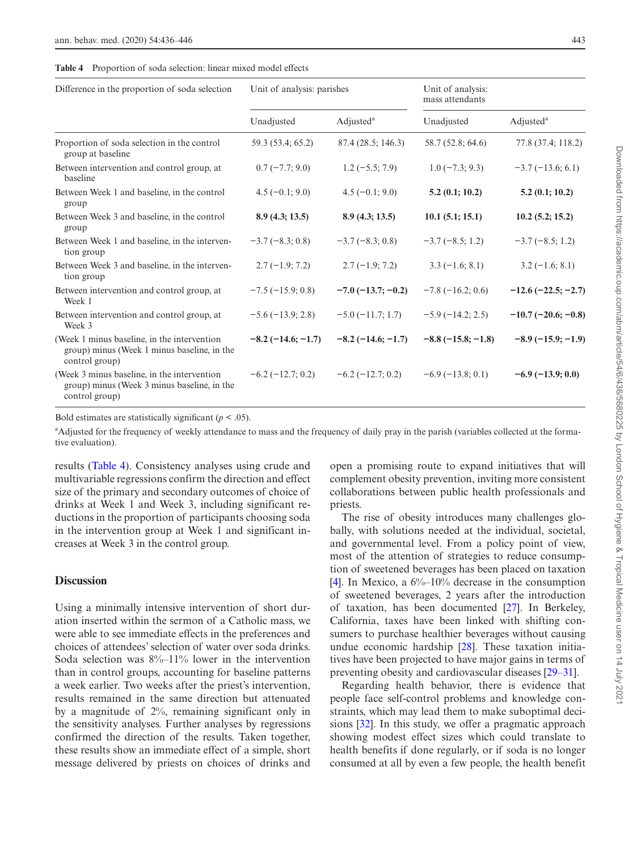<span id="page-7-0"></span>

| <b>Table 4</b> Proportion of soda selection: linear mixed model effects |
|-------------------------------------------------------------------------|
|-------------------------------------------------------------------------|

| Difference in the proportion of soda selection                                                               | Unit of analysis: parishes |                             | Unit of analysis:<br>mass attendants |                       |
|--------------------------------------------------------------------------------------------------------------|----------------------------|-----------------------------|--------------------------------------|-----------------------|
|                                                                                                              | Unadjusted                 | Adjusted <sup>a</sup>       | Unadjusted                           | Adjusted <sup>a</sup> |
| Proportion of soda selection in the control<br>group at baseline                                             | 59.3 (53.4; 65.2)          | 87.4 (28.5; 146.3)          | 58.7 (52.8; 64.6)                    | 77.8 (37.4; 118.2)    |
| Between intervention and control group, at<br>baseline                                                       | $0.7(-7.7; 9.0)$           | $1.2(-5.5; 7.9)$            | $1.0(-7.3; 9.3)$                     | $-3.7(-13.6; 6.1)$    |
| Between Week 1 and baseline, in the control<br>group                                                         | $4.5(-0.1; 9.0)$           | $4.5(-0.1; 9.0)$            | 5.2(0.1; 10.2)                       | 5.2(0.1; 10.2)        |
| Between Week 3 and baseline, in the control<br>group                                                         | 8.9(4.3; 13.5)             | 8.9(4.3; 13.5)              | 10.1(5.1; 15.1)                      | 10.2(5.2; 15.2)       |
| Between Week 1 and baseline, in the interven-<br>tion group                                                  | $-3.7(-8.3; 0.8)$          | $-3.7(-8.3; 0.8)$           | $-3.7(-8.5; 1.2)$                    | $-3.7(-8.5; 1.2)$     |
| Between Week 3 and baseline, in the interven-<br>tion group                                                  | $2.7(-1.9; 7.2)$           | $2.7(-1.9; 7.2)$            | $3.3(-1.6; 8.1)$                     | $3.2(-1.6; 8.1)$      |
| Between intervention and control group, at<br>Week 1                                                         | $-7.5(-15.9; 0.8)$         | $-7.0$ ( $-13.7$ ; $-0.2$ ) | $-7.8(-16.2; 0.6)$                   | $-12.6(-22.5;-2.7)$   |
| Between intervention and control group, at<br>Week 3                                                         | $-5.6(-13.9; 2.8)$         | $-5.0$ ( $-11.7$ ; 1.7)     | $-5.9(-14.2; 2.5)$                   | $-10.7(-20.6;-0.8)$   |
| (Week 1 minus baseline, in the intervention<br>group) minus (Week 1 minus baseline, in the<br>control group) | $-8.2(-14.6;-1.7)$         | $-8.2(-14.6;-1.7)$          | $-8.8(-15.8; -1.8)$                  | $-8.9(-15.9; -1.9)$   |
| (Week 3 minus baseline, in the intervention<br>group) minus (Week 3 minus baseline, in the<br>control group) | $-6.2(-12.7; 0.2)$         | $-6.2$ ( $-12.7; 0.2$ )     | $-6.9(-13.8; 0.1)$                   | $-6.9(-13.9; 0.0)$    |

Bold estimates are statistically significant  $(p < .05)$ .

<sup>a</sup>Adjusted for the frequency of weekly attendance to mass and the frequency of daily pray in the parish (variables collected at the formative evaluation).

results [\(Table 4\)](#page-7-0). Consistency analyses using crude and multivariable regressions confirm the direction and effect size of the primary and secondary outcomes of choice of drinks at Week 1 and Week 3, including significant reductions in the proportion of participants choosing soda in the intervention group at Week 1 and significant increases at Week 3 in the control group.

# **Discussion**

Using a minimally intensive intervention of short duration inserted within the sermon of a Catholic mass, we were able to see immediate effects in the preferences and choices of attendees' selection of water over soda drinks. Soda selection was 8%–11% lower in the intervention than in control groups, accounting for baseline patterns a week earlier. Two weeks after the priest's intervention, results remained in the same direction but attenuated by a magnitude of 2%, remaining significant only in the sensitivity analyses. Further analyses by regressions confirmed the direction of the results. Taken together, these results show an immediate effect of a simple, short message delivered by priests on choices of drinks and

open a promising route to expand initiatives that will complement obesity prevention, inviting more consistent collaborations between public health professionals and priests.

The rise of obesity introduces many challenges globally, with solutions needed at the individual, societal, and governmental level. From a policy point of view, most of the attention of strategies to reduce consumption of sweetened beverages has been placed on taxation [\[4](#page-9-5)]. In Mexico, a  $6\%$ -10% decrease in the consumption of sweetened beverages, 2 years after the introduction of taxation, has been documented [\[27](#page-10-13)]. In Berkeley, California, taxes have been linked with shifting consumers to purchase healthier beverages without causing undue economic hardship [[28\]](#page-10-14). These taxation initiatives have been projected to have major gains in terms of preventing obesity and cardiovascular diseases [29–31].

Regarding health behavior, there is evidence that people face self-control problems and knowledge constraints, which may lead them to make suboptimal decisions [\[32](#page-10-15)]. In this study, we offer a pragmatic approach showing modest effect sizes which could translate to health benefits if done regularly, or if soda is no longer consumed at all by even a few people, the health benefit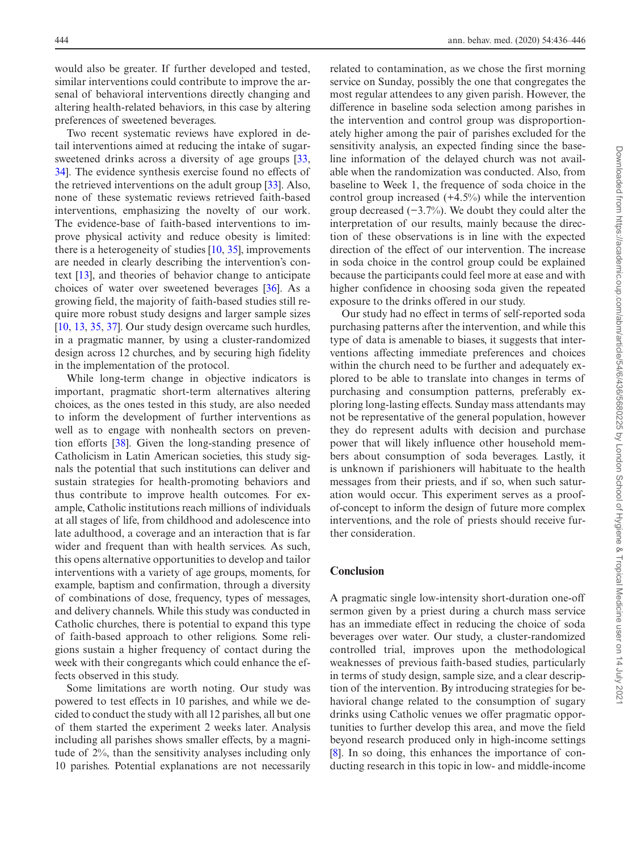would also be greater. If further developed and tested, similar interventions could contribute to improve the arsenal of behavioral interventions directly changing and altering health-related behaviors, in this case by altering preferences of sweetened beverages.

Two recent systematic reviews have explored in detail interventions aimed at reducing the intake of sugar-sweetened drinks across a diversity of age groups [[33,](#page-10-16) [34](#page-10-17)]. The evidence synthesis exercise found no effects of the retrieved interventions on the adult group [[33\]](#page-10-16). Also, none of these systematic reviews retrieved faith-based interventions, emphasizing the novelty of our work. The evidence-base of faith-based interventions to improve physical activity and reduce obesity is limited: there is a heterogeneity of studies  $[10, 35]$  $[10, 35]$  $[10, 35]$  $[10, 35]$ , improvements are needed in clearly describing the intervention's context [\[13](#page-9-6)], and theories of behavior change to anticipate choices of water over sweetened beverages [\[36](#page-10-19)]. As a growing field, the majority of faith-based studies still require more robust study designs and larger sample sizes [[10,](#page-9-4) [13,](#page-9-6) [35,](#page-10-18) [37](#page-10-20)]. Our study design overcame such hurdles, in a pragmatic manner, by using a cluster-randomized design across 12 churches, and by securing high fidelity in the implementation of the protocol.

While long-term change in objective indicators is important, pragmatic short-term alternatives altering choices, as the ones tested in this study, are also needed to inform the development of further interventions as well as to engage with nonhealth sectors on prevention efforts [[38\]](#page-10-21). Given the long-standing presence of Catholicism in Latin American societies, this study signals the potential that such institutions can deliver and sustain strategies for health-promoting behaviors and thus contribute to improve health outcomes. For example, Catholic institutions reach millions of individuals at all stages of life, from childhood and adolescence into late adulthood, a coverage and an interaction that is far wider and frequent than with health services. As such, this opens alternative opportunities to develop and tailor interventions with a variety of age groups, moments, for example, baptism and confirmation, through a diversity of combinations of dose, frequency, types of messages, and delivery channels. While this study was conducted in Catholic churches, there is potential to expand this type of faith-based approach to other religions. Some religions sustain a higher frequency of contact during the week with their congregants which could enhance the effects observed in this study.

Some limitations are worth noting. Our study was powered to test effects in 10 parishes, and while we decided to conduct the study with all 12 parishes, all but one of them started the experiment 2 weeks later. Analysis including all parishes shows smaller effects, by a magnitude of 2%, than the sensitivity analyses including only 10 parishes. Potential explanations are not necessarily

related to contamination, as we chose the first morning service on Sunday, possibly the one that congregates the most regular attendees to any given parish. However, the difference in baseline soda selection among parishes in the intervention and control group was disproportionately higher among the pair of parishes excluded for the sensitivity analysis, an expected finding since the baseline information of the delayed church was not available when the randomization was conducted. Also, from baseline to Week 1, the frequence of soda choice in the control group increased (+4.5%) while the intervention group decreased (−3.7%). We doubt they could alter the interpretation of our results, mainly because the direction of these observations is in line with the expected direction of the effect of our intervention. The increase in soda choice in the control group could be explained because the participants could feel more at ease and with higher confidence in choosing soda given the repeated exposure to the drinks offered in our study.

Our study had no effect in terms of self-reported soda purchasing patterns after the intervention, and while this type of data is amenable to biases, it suggests that interventions affecting immediate preferences and choices within the church need to be further and adequately explored to be able to translate into changes in terms of purchasing and consumption patterns, preferably exploring long-lasting effects. Sunday mass attendants may not be representative of the general population, however they do represent adults with decision and purchase power that will likely influence other household members about consumption of soda beverages. Lastly, it is unknown if parishioners will habituate to the health messages from their priests, and if so, when such saturation would occur. This experiment serves as a proofof-concept to inform the design of future more complex interventions, and the role of priests should receive further consideration.

# **Conclusion**

A pragmatic single low-intensity short-duration one-off sermon given by a priest during a church mass service has an immediate effect in reducing the choice of soda beverages over water. Our study, a cluster-randomized controlled trial, improves upon the methodological weaknesses of previous faith-based studies, particularly in terms of study design, sample size, and a clear description of the intervention. By introducing strategies for behavioral change related to the consumption of sugary drinks using Catholic venues we offer pragmatic opportunities to further develop this area, and move the field beyond research produced only in high-income settings [\[8](#page-9-7)]. In so doing, this enhances the importance of conducting research in this topic in low- and middle-income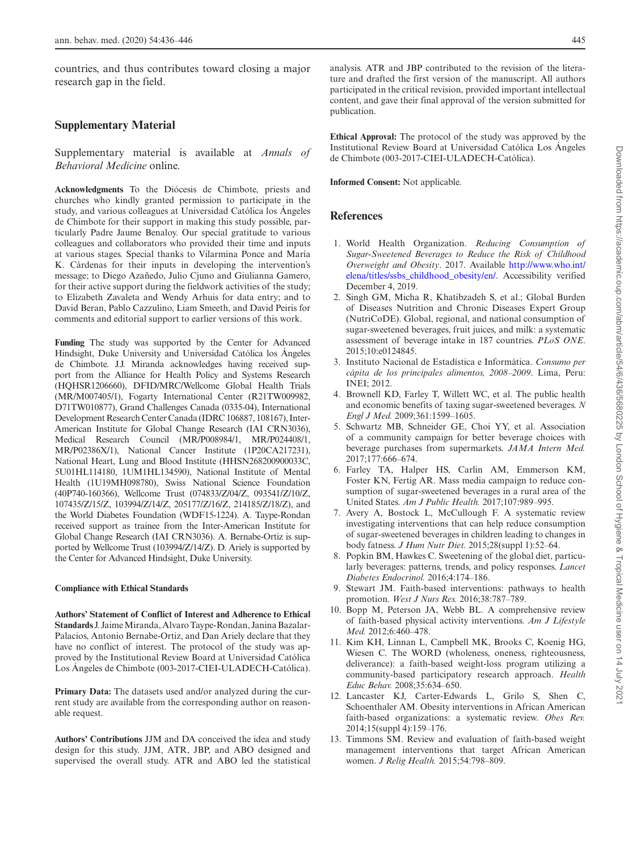countries, and thus contributes toward closing a major research gap in the field.

# **Supplementary Material**

Supplementary material is available at *Annals of Behavioral Medicine* online.

**Acknowledgments** To the Diócesis de Chimbote, priests and churches who kindly granted permission to participate in the study, and various colleagues at Universidad Católica los Ángeles de Chimbote for their support in making this study possible, particularly Padre Jaume Benaloy. Our special gratitude to various colleagues and collaborators who provided their time and inputs at various stages. Special thanks to Vilarmina Ponce and María K. Cárdenas for their inputs in developing the intervention's message; to Diego Azañedo, Julio Cjuno and Giulianna Gamero, for their active support during the fieldwork activities of the study; to Elizabeth Zavaleta and Wendy Arhuis for data entry; and to David Beran, Pablo Cazzulino, Liam Smeeth, and David Peiris for comments and editorial support to earlier versions of this work.

**Funding** The study was supported by the Center for Advanced Hindsight, Duke University and Universidad Católica los Ángeles de Chimbote. J.J. Miranda acknowledges having received support from the Alliance for Health Policy and Systems Research (HQHSR1206660), DFID/MRC/Wellcome Global Health Trials (MR/M007405/1), Fogarty International Center (R21TW009982, D71TW010877), Grand Challenges Canada (0335-04), International Development Research Center Canada (IDRC 106887, 108167), Inter-American Institute for Global Change Research (IAI CRN3036), Medical Research Council (MR/P008984/1, MR/P024408/1, MR/P02386X/1), National Cancer Institute (1P20CA217231), National Heart, Lung and Blood Institute (HHSN268200900033C, 5U01HL114180, 1UM1HL134590), National Institute of Mental Health (1U19MH098780), Swiss National Science Foundation (40P740-160366), Wellcome Trust (074833/Z/04/Z, 093541/Z/10/Z, 107435/Z/15/Z, 103994/Z/14/Z, 205177/Z/16/Z, 214185/Z/18/Z), and the World Diabetes Foundation (WDF15-1224). A. Taype-Rondan received support as trainee from the Inter-American Institute for Global Change Research (IAI CRN3036). A. Bernabe-Ortiz is supported by Wellcome Trust (103994/Z/14/Z). D. Ariely is supported by the Center for Advanced Hindsight, Duke University.

#### **Compliance with Ethical Standards**

**Authors' Statement of Conflict of Interest and Adherence to Ethical Standards** J. Jaime Miranda, Alvaro Taype-Rondan, Janina Bazalar-Palacios, Antonio Bernabe-Ortiz, and Dan Ariely declare that they have no conflict of interest. The protocol of the study was approved by the Institutional Review Board at Universidad Católica Los Ángeles de Chimbote (003-2017-CIEI-ULADECH-Católica).

**Primary Data:** The datasets used and/or analyzed during the current study are available from the corresponding author on reasonable request.

**Authors' Contributions** JJM and DA conceived the idea and study design for this study. JJM, ATR, JBP, and ABO designed and supervised the overall study. ATR and ABO led the statistical analysis. ATR and JBP contributed to the revision of the literature and drafted the first version of the manuscript. All authors participated in the critical revision, provided important intellectual content, and gave their final approval of the version submitted for publication.

**Ethical Approval:** The protocol of the study was approved by the Institutional Review Board at Universidad Católica Los Ángeles de Chimbote (003-2017-CIEI-ULADECH-Católica).

**Informed Consent:** Not applicable.

# **References**

- <span id="page-9-0"></span>1. World Health Organization. *Reducing Consumption of Sugar-Sweetened Beverages to Reduce the Risk of Childhood Overweight and Obesity*. 2017. Available [http://www.who.int/](http://www.who.int/elena/titles/ssbs_childhood_obesity/en/﻿) [elena/titles/ssbs\\_childhood\\_obesity/en/.](http://www.who.int/elena/titles/ssbs_childhood_obesity/en/﻿) Accessibility verified December 4, 2019.
- <span id="page-9-1"></span>2. Singh GM, Micha R, Khatibzadeh S, et al.; Global Burden of Diseases Nutrition and Chronic Diseases Expert Group (NutriCoDE). Global, regional, and national consumption of sugar-sweetened beverages, fruit juices, and milk: a systematic assessment of beverage intake in 187 countries. *PLoS ONE*. 2015;10:e0124845.
- <span id="page-9-2"></span>3. Instituto Nacional de Estadística e Informática. *Consumo per cápita de los principales alimentos, 2008–2009*. Lima, Peru: INEI; 2012.
- <span id="page-9-5"></span>4. Brownell KD, Farley T, Willett WC, et al. The public health and economic benefits of taxing sugar-sweetened beverages. *N Engl J Med.* 2009;361:1599–1605.
- 5. Schwartz MB, Schneider GE, Choi YY, et al. Association of a community campaign for better beverage choices with beverage purchases from supermarkets. *JAMA Intern Med.* 2017;177:666–674.
- 6. Farley TA, Halper HS, Carlin AM, Emmerson KM, Foster KN, Fertig AR. Mass media campaign to reduce consumption of sugar-sweetened beverages in a rural area of the United States. *Am J Public Health.* 2017;107:989–995.
- 7. Avery A, Bostock L, McCullough F. A systematic review investigating interventions that can help reduce consumption of sugar-sweetened beverages in children leading to changes in body fatness. *J Hum Nutr Diet.* 2015;28(suppl 1):52–64.
- <span id="page-9-7"></span>8. Popkin BM, Hawkes C. Sweetening of the global diet, particularly beverages: patterns, trends, and policy responses. *Lancet Diabetes Endocrinol.* 2016;4:174–186.
- <span id="page-9-3"></span>9. Stewart JM. Faith-based interventions: pathways to health promotion. *West J Nurs Res.* 2016;38:787–789.
- <span id="page-9-4"></span>10. Bopp M, Peterson JA, Webb BL. A comprehensive review of faith-based physical activity interventions. *Am J Lifestyle Med.* 2012;6:460–478.
- 11. Kim KH, Linnan L, Campbell MK, Brooks C, Koenig HG, Wiesen C. The WORD (wholeness, oneness, righteousness, deliverance): a faith-based weight-loss program utilizing a community-based participatory research approach. *Health Educ Behav.* 2008;35:634–650.
- 12. Lancaster KJ, Carter-Edwards L, Grilo S, Shen C, Schoenthaler AM. Obesity interventions in African American faith-based organizations: a systematic review. *Obes Rev.* 2014;15(suppl 4):159–176.
- <span id="page-9-6"></span>13. Timmons SM. Review and evaluation of faith-based weight management interventions that target African American women. *J Relig Health.* 2015;54:798–809.